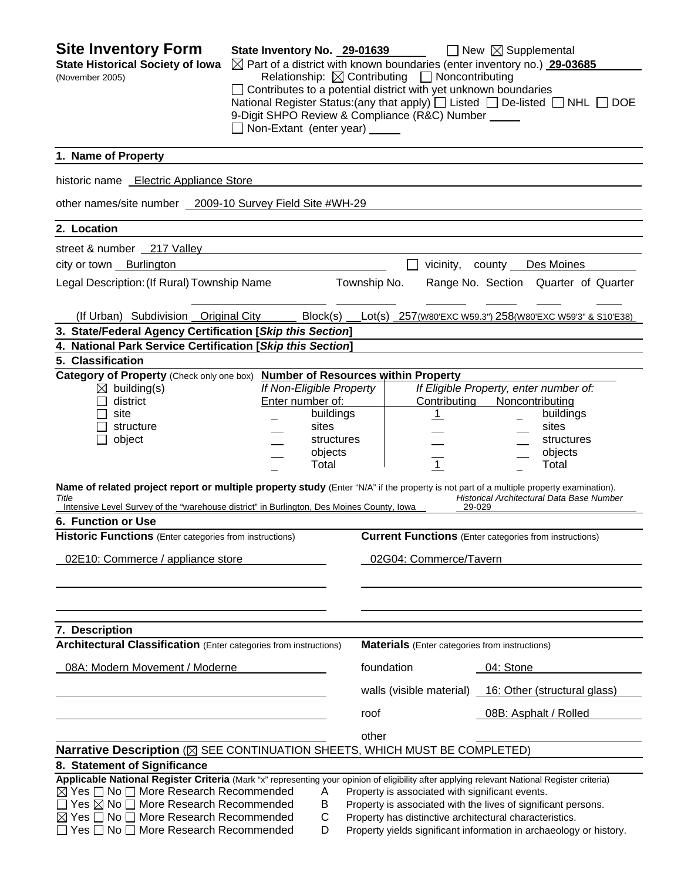| <b>Site Inventory Form</b><br><b>State Historical Society of Iowa</b><br>(November 2005)                                                                                                                                                                                                                                                                                                                                                                                                                                   | State Inventory No. 29-01639<br>Non-Extant (enter year) _____ |                                                                                  |              | $\boxtimes$ Part of a district with known boundaries (enter inventory no.) 29-03685<br>Relationship: $\boxtimes$ Contributing $\Box$ Noncontributing<br>$\Box$ Contributes to a potential district with yet unknown boundaries<br>National Register Status: (any that apply) $\Box$ Listed $\Box$ De-listed $\Box$ NHL $\Box$ DOE<br>9-Digit SHPO Review & Compliance (R&C) Number | $\Box$ New $\boxtimes$ Supplemental                                                                                                |                                      |
|----------------------------------------------------------------------------------------------------------------------------------------------------------------------------------------------------------------------------------------------------------------------------------------------------------------------------------------------------------------------------------------------------------------------------------------------------------------------------------------------------------------------------|---------------------------------------------------------------|----------------------------------------------------------------------------------|--------------|------------------------------------------------------------------------------------------------------------------------------------------------------------------------------------------------------------------------------------------------------------------------------------------------------------------------------------------------------------------------------------|------------------------------------------------------------------------------------------------------------------------------------|--------------------------------------|
| 1. Name of Property                                                                                                                                                                                                                                                                                                                                                                                                                                                                                                        |                                                               |                                                                                  |              |                                                                                                                                                                                                                                                                                                                                                                                    |                                                                                                                                    |                                      |
| historic name Electric Appliance Store                                                                                                                                                                                                                                                                                                                                                                                                                                                                                     |                                                               |                                                                                  |              |                                                                                                                                                                                                                                                                                                                                                                                    |                                                                                                                                    |                                      |
| other names/site number 2009-10 Survey Field Site #WH-29                                                                                                                                                                                                                                                                                                                                                                                                                                                                   |                                                               |                                                                                  |              |                                                                                                                                                                                                                                                                                                                                                                                    |                                                                                                                                    |                                      |
| 2. Location                                                                                                                                                                                                                                                                                                                                                                                                                                                                                                                |                                                               |                                                                                  |              |                                                                                                                                                                                                                                                                                                                                                                                    |                                                                                                                                    |                                      |
| street & number 217 Valley                                                                                                                                                                                                                                                                                                                                                                                                                                                                                                 |                                                               |                                                                                  |              |                                                                                                                                                                                                                                                                                                                                                                                    |                                                                                                                                    |                                      |
| city or town Burlington                                                                                                                                                                                                                                                                                                                                                                                                                                                                                                    |                                                               |                                                                                  |              | vicinity,                                                                                                                                                                                                                                                                                                                                                                          | county Des Moines                                                                                                                  |                                      |
| Legal Description: (If Rural) Township Name                                                                                                                                                                                                                                                                                                                                                                                                                                                                                |                                                               |                                                                                  | Township No. |                                                                                                                                                                                                                                                                                                                                                                                    |                                                                                                                                    | Range No. Section Quarter of Quarter |
| (If Urban) Subdivision Original City                                                                                                                                                                                                                                                                                                                                                                                                                                                                                       |                                                               | Block(s)                                                                         |              | Lot(s) 257(W80'EXC W59.3") 258(W80'EXC W59'3" & S10'E38)                                                                                                                                                                                                                                                                                                                           |                                                                                                                                    |                                      |
| 3. State/Federal Agency Certification [Skip this Section]                                                                                                                                                                                                                                                                                                                                                                                                                                                                  |                                                               |                                                                                  |              |                                                                                                                                                                                                                                                                                                                                                                                    |                                                                                                                                    |                                      |
| 4. National Park Service Certification [Skip this Section]                                                                                                                                                                                                                                                                                                                                                                                                                                                                 |                                                               |                                                                                  |              |                                                                                                                                                                                                                                                                                                                                                                                    |                                                                                                                                    |                                      |
| 5. Classification                                                                                                                                                                                                                                                                                                                                                                                                                                                                                                          |                                                               |                                                                                  |              |                                                                                                                                                                                                                                                                                                                                                                                    |                                                                                                                                    |                                      |
| Category of Property (Check only one box) Number of Resources within Property<br>$\boxtimes$ building(s)<br>district<br>site<br>structure<br>object<br>Name of related project report or multiple property study (Enter "N/A" if the property is not part of a multiple property examination).<br>Title<br>Intensive Level Survey of the "warehouse district" in Burlington, Des Moines County, Iowa<br>6. Function or Use<br>Historic Functions (Enter categories from instructions)<br>02E10: Commerce / appliance store | Enter number of:                                              | If Non-Eligible Property<br>buildings<br>sites<br>structures<br>objects<br>Total |              | Contributing<br>$\mathbf{1}$<br>$\overline{1}$<br><b>Current Functions</b> (Enter categories from instructions)<br>02G04: Commerce/Tavern                                                                                                                                                                                                                                          | If Eligible Property, enter number of:<br>Noncontributing<br>sites<br>Total<br>Historical Architectural Data Base Number<br>29-029 | buildings<br>structures<br>objects   |
| 7. Description                                                                                                                                                                                                                                                                                                                                                                                                                                                                                                             |                                                               |                                                                                  |              |                                                                                                                                                                                                                                                                                                                                                                                    |                                                                                                                                    |                                      |
| <b>Architectural Classification</b> (Enter categories from instructions)                                                                                                                                                                                                                                                                                                                                                                                                                                                   |                                                               |                                                                                  |              | <b>Materials</b> (Enter categories from instructions)                                                                                                                                                                                                                                                                                                                              |                                                                                                                                    |                                      |
| 08A: Modern Movement / Moderne                                                                                                                                                                                                                                                                                                                                                                                                                                                                                             |                                                               |                                                                                  | foundation   |                                                                                                                                                                                                                                                                                                                                                                                    | 04: Stone                                                                                                                          |                                      |
|                                                                                                                                                                                                                                                                                                                                                                                                                                                                                                                            |                                                               |                                                                                  |              | walls (visible material) 16: Other (structural glass)                                                                                                                                                                                                                                                                                                                              |                                                                                                                                    |                                      |
|                                                                                                                                                                                                                                                                                                                                                                                                                                                                                                                            |                                                               |                                                                                  | roof         |                                                                                                                                                                                                                                                                                                                                                                                    | 08B: Asphalt / Rolled                                                                                                              |                                      |
|                                                                                                                                                                                                                                                                                                                                                                                                                                                                                                                            |                                                               |                                                                                  | other        |                                                                                                                                                                                                                                                                                                                                                                                    |                                                                                                                                    |                                      |
| Narrative Description (X SEE CONTINUATION SHEETS, WHICH MUST BE COMPLETED)                                                                                                                                                                                                                                                                                                                                                                                                                                                 |                                                               |                                                                                  |              |                                                                                                                                                                                                                                                                                                                                                                                    |                                                                                                                                    |                                      |
| 8. Statement of Significance                                                                                                                                                                                                                                                                                                                                                                                                                                                                                               |                                                               |                                                                                  |              |                                                                                                                                                                                                                                                                                                                                                                                    |                                                                                                                                    |                                      |
| Applicable National Register Criteria (Mark "x" representing your opinion of eligibility after applying relevant National Register criteria)<br>$\boxtimes$ Yes $\Box$ No $\Box$ More Research Recommended<br>$\Box$ Yes $\boxtimes$ No $\Box$ More Research Recommended<br>$\boxtimes$ Yes $\Box$ No $\Box$ More Research Recommended<br>$\Box$ Yes $\Box$ No $\Box$ More Research Recommended                                                                                                                            |                                                               | A<br>В<br>C<br>D                                                                 |              | Property is associated with significant events.<br>Property is associated with the lives of significant persons.<br>Property has distinctive architectural characteristics.<br>Property yields significant information in archaeology or history.                                                                                                                                  |                                                                                                                                    |                                      |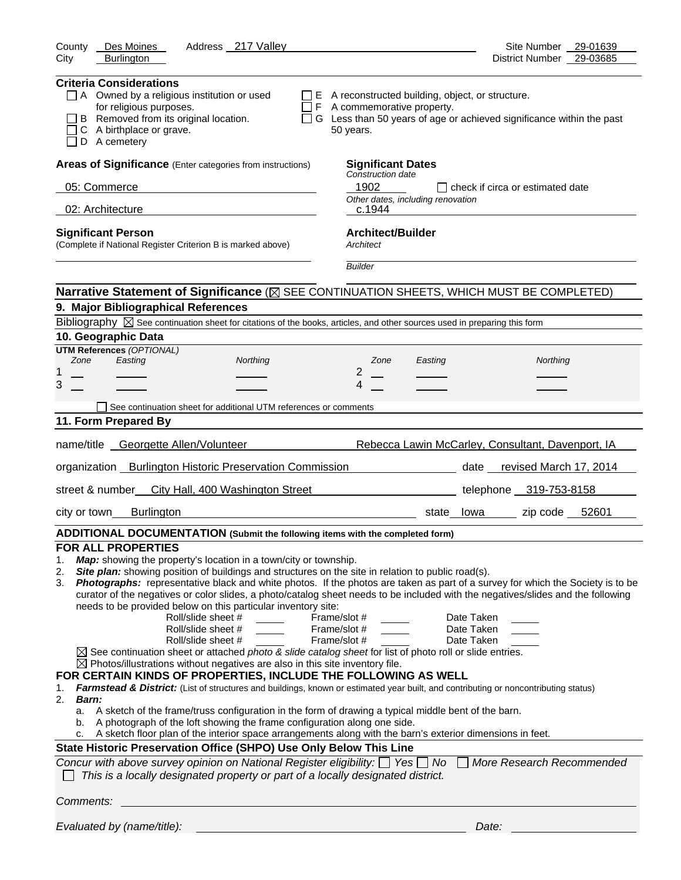| Address 217 Valley<br>Des Moines<br>County                                                                                                                                                                                                                                                                                                                                                                                                                                                                                                                                                                                                                                                                                                                                                                                                                                                                                                                                                                                                                                                                                                                                                                                                                                                                                                                                                                                                                                                                                                                                                                                                                                                             | Site Number<br>29-01639                                                |
|--------------------------------------------------------------------------------------------------------------------------------------------------------------------------------------------------------------------------------------------------------------------------------------------------------------------------------------------------------------------------------------------------------------------------------------------------------------------------------------------------------------------------------------------------------------------------------------------------------------------------------------------------------------------------------------------------------------------------------------------------------------------------------------------------------------------------------------------------------------------------------------------------------------------------------------------------------------------------------------------------------------------------------------------------------------------------------------------------------------------------------------------------------------------------------------------------------------------------------------------------------------------------------------------------------------------------------------------------------------------------------------------------------------------------------------------------------------------------------------------------------------------------------------------------------------------------------------------------------------------------------------------------------------------------------------------------------|------------------------------------------------------------------------|
| City<br><b>Burlington</b>                                                                                                                                                                                                                                                                                                                                                                                                                                                                                                                                                                                                                                                                                                                                                                                                                                                                                                                                                                                                                                                                                                                                                                                                                                                                                                                                                                                                                                                                                                                                                                                                                                                                              | 29-03685<br>District Number                                            |
| <b>Criteria Considerations</b><br>$\Box$ A Owned by a religious institution or used<br>$\Box$ E A reconstructed building, object, or structure.<br>for religious purposes.<br>$\Box$ F A commemorative property.<br>B Removed from its original location.<br>C A birthplace or grave.<br>50 years.<br>D A cemetery                                                                                                                                                                                                                                                                                                                                                                                                                                                                                                                                                                                                                                                                                                                                                                                                                                                                                                                                                                                                                                                                                                                                                                                                                                                                                                                                                                                     | □ G Less than 50 years of age or achieved significance within the past |
| Areas of Significance (Enter categories from instructions)<br><b>Significant Dates</b>                                                                                                                                                                                                                                                                                                                                                                                                                                                                                                                                                                                                                                                                                                                                                                                                                                                                                                                                                                                                                                                                                                                                                                                                                                                                                                                                                                                                                                                                                                                                                                                                                 |                                                                        |
| Construction date<br>1902<br>05: Commerce                                                                                                                                                                                                                                                                                                                                                                                                                                                                                                                                                                                                                                                                                                                                                                                                                                                                                                                                                                                                                                                                                                                                                                                                                                                                                                                                                                                                                                                                                                                                                                                                                                                              | $\Box$ check if circa or estimated date                                |
| Other dates, including renovation                                                                                                                                                                                                                                                                                                                                                                                                                                                                                                                                                                                                                                                                                                                                                                                                                                                                                                                                                                                                                                                                                                                                                                                                                                                                                                                                                                                                                                                                                                                                                                                                                                                                      |                                                                        |
| 02: Architecture<br>c.1944                                                                                                                                                                                                                                                                                                                                                                                                                                                                                                                                                                                                                                                                                                                                                                                                                                                                                                                                                                                                                                                                                                                                                                                                                                                                                                                                                                                                                                                                                                                                                                                                                                                                             |                                                                        |
| <b>Architect/Builder</b><br><b>Significant Person</b><br>(Complete if National Register Criterion B is marked above)<br>Architect                                                                                                                                                                                                                                                                                                                                                                                                                                                                                                                                                                                                                                                                                                                                                                                                                                                                                                                                                                                                                                                                                                                                                                                                                                                                                                                                                                                                                                                                                                                                                                      |                                                                        |
| <b>Builder</b>                                                                                                                                                                                                                                                                                                                                                                                                                                                                                                                                                                                                                                                                                                                                                                                                                                                                                                                                                                                                                                                                                                                                                                                                                                                                                                                                                                                                                                                                                                                                                                                                                                                                                         |                                                                        |
| Narrative Statement of Significance ( $\boxtimes$ SEE CONTINUATION SHEETS, WHICH MUST BE COMPLETED)                                                                                                                                                                                                                                                                                                                                                                                                                                                                                                                                                                                                                                                                                                                                                                                                                                                                                                                                                                                                                                                                                                                                                                                                                                                                                                                                                                                                                                                                                                                                                                                                    |                                                                        |
| 9. Major Bibliographical References                                                                                                                                                                                                                                                                                                                                                                                                                                                                                                                                                                                                                                                                                                                                                                                                                                                                                                                                                                                                                                                                                                                                                                                                                                                                                                                                                                                                                                                                                                                                                                                                                                                                    |                                                                        |
| Bibliography $\boxtimes$ See continuation sheet for citations of the books, articles, and other sources used in preparing this form                                                                                                                                                                                                                                                                                                                                                                                                                                                                                                                                                                                                                                                                                                                                                                                                                                                                                                                                                                                                                                                                                                                                                                                                                                                                                                                                                                                                                                                                                                                                                                    |                                                                        |
| 10. Geographic Data<br><b>UTM References (OPTIONAL)</b>                                                                                                                                                                                                                                                                                                                                                                                                                                                                                                                                                                                                                                                                                                                                                                                                                                                                                                                                                                                                                                                                                                                                                                                                                                                                                                                                                                                                                                                                                                                                                                                                                                                |                                                                        |
| Zone<br>Easting<br>Northing<br>Zone<br>Easting                                                                                                                                                                                                                                                                                                                                                                                                                                                                                                                                                                                                                                                                                                                                                                                                                                                                                                                                                                                                                                                                                                                                                                                                                                                                                                                                                                                                                                                                                                                                                                                                                                                         | Northing                                                               |
| $\overline{2}$<br>1                                                                                                                                                                                                                                                                                                                                                                                                                                                                                                                                                                                                                                                                                                                                                                                                                                                                                                                                                                                                                                                                                                                                                                                                                                                                                                                                                                                                                                                                                                                                                                                                                                                                                    |                                                                        |
| 3<br>4                                                                                                                                                                                                                                                                                                                                                                                                                                                                                                                                                                                                                                                                                                                                                                                                                                                                                                                                                                                                                                                                                                                                                                                                                                                                                                                                                                                                                                                                                                                                                                                                                                                                                                 |                                                                        |
| See continuation sheet for additional UTM references or comments                                                                                                                                                                                                                                                                                                                                                                                                                                                                                                                                                                                                                                                                                                                                                                                                                                                                                                                                                                                                                                                                                                                                                                                                                                                                                                                                                                                                                                                                                                                                                                                                                                       |                                                                        |
| 11. Form Prepared By                                                                                                                                                                                                                                                                                                                                                                                                                                                                                                                                                                                                                                                                                                                                                                                                                                                                                                                                                                                                                                                                                                                                                                                                                                                                                                                                                                                                                                                                                                                                                                                                                                                                                   |                                                                        |
| name/title Georgette Allen/Volunteer                                                                                                                                                                                                                                                                                                                                                                                                                                                                                                                                                                                                                                                                                                                                                                                                                                                                                                                                                                                                                                                                                                                                                                                                                                                                                                                                                                                                                                                                                                                                                                                                                                                                   | Rebecca Lawin McCarley, Consultant, Davenport, IA                      |
| organization Burlington Historic Preservation Commission                                                                                                                                                                                                                                                                                                                                                                                                                                                                                                                                                                                                                                                                                                                                                                                                                                                                                                                                                                                                                                                                                                                                                                                                                                                                                                                                                                                                                                                                                                                                                                                                                                               | date revised March 17, 2014                                            |
| street & number<br>City Hall, 400 Washington Street                                                                                                                                                                                                                                                                                                                                                                                                                                                                                                                                                                                                                                                                                                                                                                                                                                                                                                                                                                                                                                                                                                                                                                                                                                                                                                                                                                                                                                                                                                                                                                                                                                                    | telephone 319-753-8158                                                 |
| <b>Burlington</b><br>city or town                                                                                                                                                                                                                                                                                                                                                                                                                                                                                                                                                                                                                                                                                                                                                                                                                                                                                                                                                                                                                                                                                                                                                                                                                                                                                                                                                                                                                                                                                                                                                                                                                                                                      | state lowa zip code 52601                                              |
| ADDITIONAL DOCUMENTATION (Submit the following items with the completed form)                                                                                                                                                                                                                                                                                                                                                                                                                                                                                                                                                                                                                                                                                                                                                                                                                                                                                                                                                                                                                                                                                                                                                                                                                                                                                                                                                                                                                                                                                                                                                                                                                          |                                                                        |
| <b>FOR ALL PROPERTIES</b><br>Map: showing the property's location in a town/city or township.<br>1.<br>Site plan: showing position of buildings and structures on the site in relation to public road(s).<br>2.<br>Photographs: representative black and white photos. If the photos are taken as part of a survey for which the Society is to be<br>3.<br>curator of the negatives or color slides, a photo/catalog sheet needs to be included with the negatives/slides and the following<br>needs to be provided below on this particular inventory site:<br>Roll/slide sheet #<br>Frame/slot #<br>Roll/slide sheet #<br>Frame/slot #<br>Roll/slide sheet #<br>Frame/slot #<br>$\boxtimes$ See continuation sheet or attached photo & slide catalog sheet for list of photo roll or slide entries.<br>$\boxtimes$ Photos/illustrations without negatives are also in this site inventory file.<br>FOR CERTAIN KINDS OF PROPERTIES, INCLUDE THE FOLLOWING AS WELL<br>Farmstead & District: (List of structures and buildings, known or estimated year built, and contributing or noncontributing status)<br>1.<br>2.<br><b>Barn:</b><br>A sketch of the frame/truss configuration in the form of drawing a typical middle bent of the barn.<br>a.<br>A photograph of the loft showing the frame configuration along one side.<br>b.<br>A sketch floor plan of the interior space arrangements along with the barn's exterior dimensions in feet.<br>State Historic Preservation Office (SHPO) Use Only Below This Line<br>Concur with above survey opinion on National Register eligibility: $\Box$ Yes $\Box$ No<br>This is a locally designated property or part of a locally designated district. | Date Taken<br>Date Taken<br>Date Taken<br>More Research Recommended    |
| Comments:                                                                                                                                                                                                                                                                                                                                                                                                                                                                                                                                                                                                                                                                                                                                                                                                                                                                                                                                                                                                                                                                                                                                                                                                                                                                                                                                                                                                                                                                                                                                                                                                                                                                                              |                                                                        |
| Evaluated by (name/title):                                                                                                                                                                                                                                                                                                                                                                                                                                                                                                                                                                                                                                                                                                                                                                                                                                                                                                                                                                                                                                                                                                                                                                                                                                                                                                                                                                                                                                                                                                                                                                                                                                                                             | Date:                                                                  |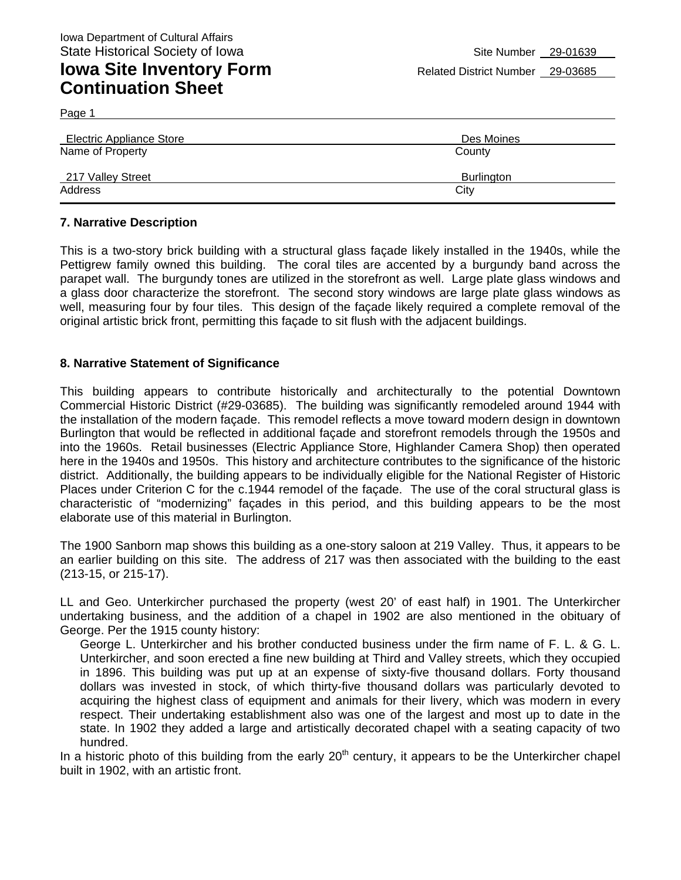Page 1

| Electric Appliance Store | Des Moines |
|--------------------------|------------|
| Name of Property         | County     |
| 217 Valley Street        | Burlington |
| Address                  | City       |

#### **7. Narrative Description**

This is a two-story brick building with a structural glass façade likely installed in the 1940s, while the Pettigrew family owned this building. The coral tiles are accented by a burgundy band across the parapet wall. The burgundy tones are utilized in the storefront as well. Large plate glass windows and a glass door characterize the storefront. The second story windows are large plate glass windows as well, measuring four by four tiles. This design of the façade likely required a complete removal of the original artistic brick front, permitting this façade to sit flush with the adjacent buildings.

#### **8. Narrative Statement of Significance**

This building appears to contribute historically and architecturally to the potential Downtown Commercial Historic District (#29-03685). The building was significantly remodeled around 1944 with the installation of the modern façade. This remodel reflects a move toward modern design in downtown Burlington that would be reflected in additional façade and storefront remodels through the 1950s and into the 1960s. Retail businesses (Electric Appliance Store, Highlander Camera Shop) then operated here in the 1940s and 1950s. This history and architecture contributes to the significance of the historic district. Additionally, the building appears to be individually eligible for the National Register of Historic Places under Criterion C for the c.1944 remodel of the façade. The use of the coral structural glass is characteristic of "modernizing" façades in this period, and this building appears to be the most elaborate use of this material in Burlington.

The 1900 Sanborn map shows this building as a one-story saloon at 219 Valley. Thus, it appears to be an earlier building on this site. The address of 217 was then associated with the building to the east (213-15, or 215-17).

LL and Geo. Unterkircher purchased the property (west 20' of east half) in 1901. The Unterkircher undertaking business, and the addition of a chapel in 1902 are also mentioned in the obituary of George. Per the 1915 county history:

George L. Unterkircher and his brother conducted business under the firm name of F. L. & G. L. Unterkircher, and soon erected a fine new building at Third and Valley streets, which they occupied in 1896. This building was put up at an expense of sixty-five thousand dollars. Forty thousand dollars was invested in stock, of which thirty-five thousand dollars was particularly devoted to acquiring the highest class of equipment and animals for their livery, which was modern in every respect. Their undertaking establishment also was one of the largest and most up to date in the state. In 1902 they added a large and artistically decorated chapel with a seating capacity of two hundred.

In a historic photo of this building from the early  $20<sup>th</sup>$  century, it appears to be the Unterkircher chapel built in 1902, with an artistic front.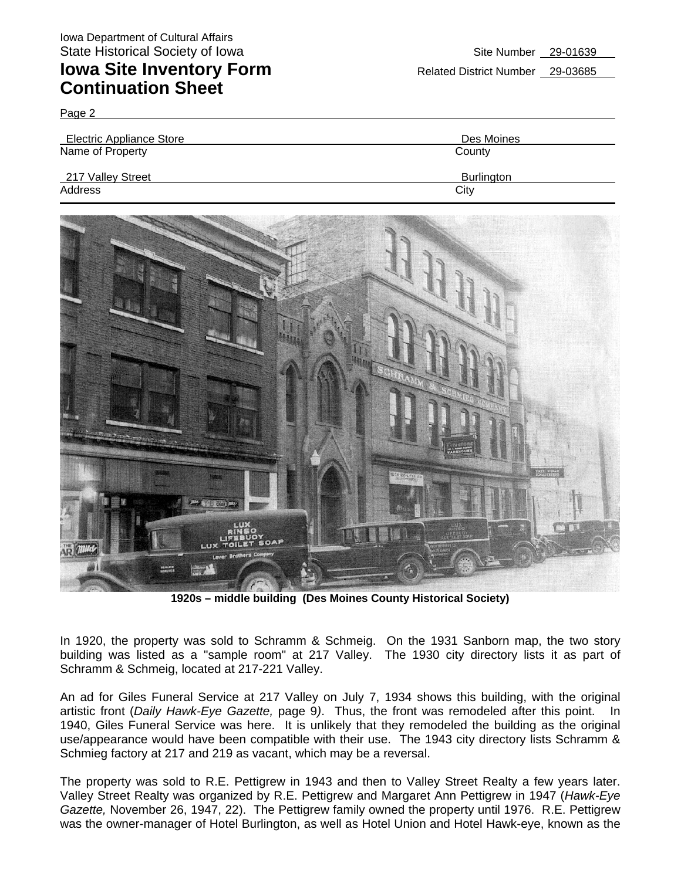Page 2

| <b>Electric Appliance Store</b> | Des Moines |
|---------------------------------|------------|
| Name of Property                | County     |
| 217 Valley Street               | Burlington |
| Address                         | City       |



**1920s – middle building (Des Moines County Historical Society)** 

In 1920, the property was sold to Schramm & Schmeig. On the 1931 Sanborn map, the two story building was listed as a "sample room" at 217 Valley. The 1930 city directory lists it as part of Schramm & Schmeig, located at 217-221 Valley.

An ad for Giles Funeral Service at 217 Valley on July 7, 1934 shows this building, with the original artistic front (*Daily Hawk-Eye Gazette,* page 9*)*. Thus, the front was remodeled after this point. In 1940, Giles Funeral Service was here. It is unlikely that they remodeled the building as the original use/appearance would have been compatible with their use. The 1943 city directory lists Schramm & Schmieg factory at 217 and 219 as vacant, which may be a reversal.

The property was sold to R.E. Pettigrew in 1943 and then to Valley Street Realty a few years later. Valley Street Realty was organized by R.E. Pettigrew and Margaret Ann Pettigrew in 1947 (*Hawk-Eye Gazette,* November 26, 1947, 22). The Pettigrew family owned the property until 1976. R.E. Pettigrew was the owner-manager of Hotel Burlington, as well as Hotel Union and Hotel Hawk-eye, known as the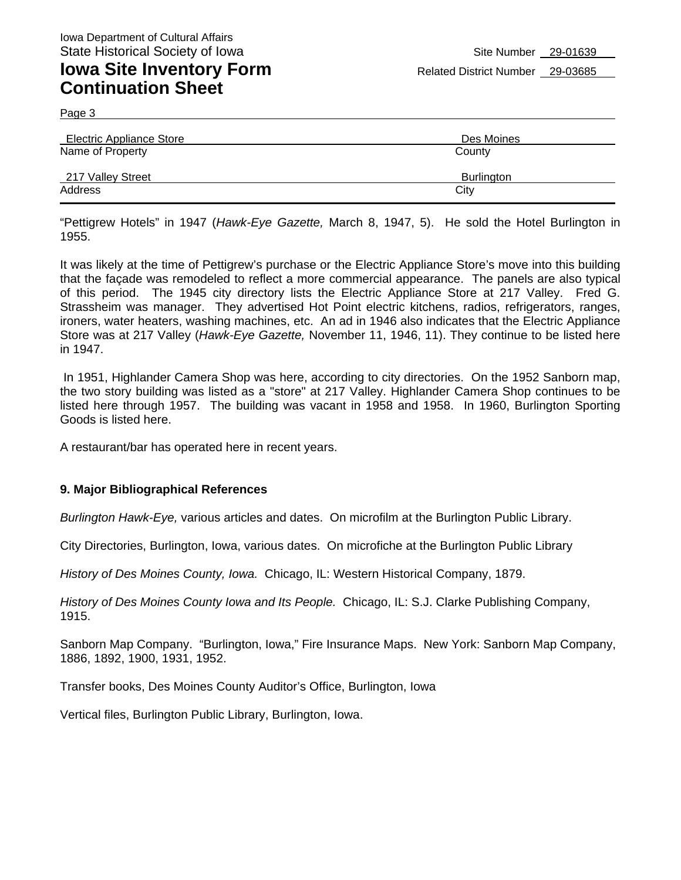Page 3

| <b>Electric Appliance Store</b> | Des Moines        |
|---------------------------------|-------------------|
| Name of Property                | County            |
| 217 Valley Street               | <b>Burlington</b> |
| Address                         | City              |

"Pettigrew Hotels" in 1947 (*Hawk-Eye Gazette,* March 8, 1947, 5). He sold the Hotel Burlington in 1955.

It was likely at the time of Pettigrew's purchase or the Electric Appliance Store's move into this building that the façade was remodeled to reflect a more commercial appearance. The panels are also typical of this period. The 1945 city directory lists the Electric Appliance Store at 217 Valley. Fred G. Strassheim was manager. They advertised Hot Point electric kitchens, radios, refrigerators, ranges, ironers, water heaters, washing machines, etc. An ad in 1946 also indicates that the Electric Appliance Store was at 217 Valley (*Hawk-Eye Gazette,* November 11, 1946, 11). They continue to be listed here in 1947.

 In 1951, Highlander Camera Shop was here, according to city directories. On the 1952 Sanborn map, the two story building was listed as a "store" at 217 Valley. Highlander Camera Shop continues to be listed here through 1957. The building was vacant in 1958 and 1958. In 1960, Burlington Sporting Goods is listed here.

A restaurant/bar has operated here in recent years.

#### **9. Major Bibliographical References**

*Burlington Hawk-Eye,* various articles and dates. On microfilm at the Burlington Public Library.

City Directories, Burlington, Iowa, various dates. On microfiche at the Burlington Public Library

*History of Des Moines County, Iowa.* Chicago, IL: Western Historical Company, 1879.

*History of Des Moines County Iowa and Its People.* Chicago, IL: S.J. Clarke Publishing Company, 1915.

Sanborn Map Company. "Burlington, Iowa," Fire Insurance Maps. New York: Sanborn Map Company, 1886, 1892, 1900, 1931, 1952.

Transfer books, Des Moines County Auditor's Office, Burlington, Iowa

Vertical files, Burlington Public Library, Burlington, Iowa.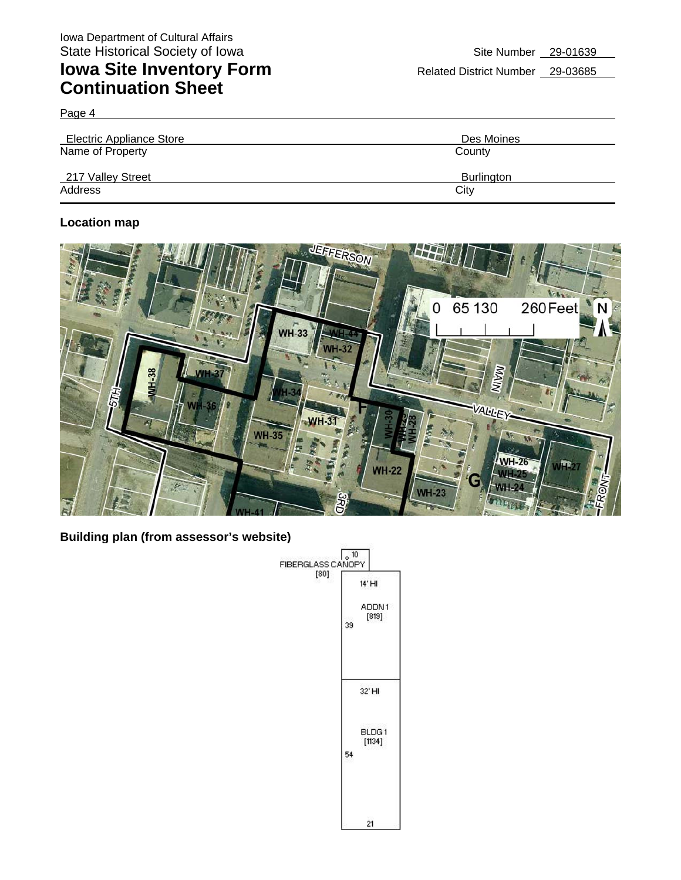Page 4

| <b>Electric Appliance Store</b> | Des Moines |
|---------------------------------|------------|
| Name of Property                | County     |
| 217 Valley Street               | Burlington |
| Address                         | City       |

### **Location map**



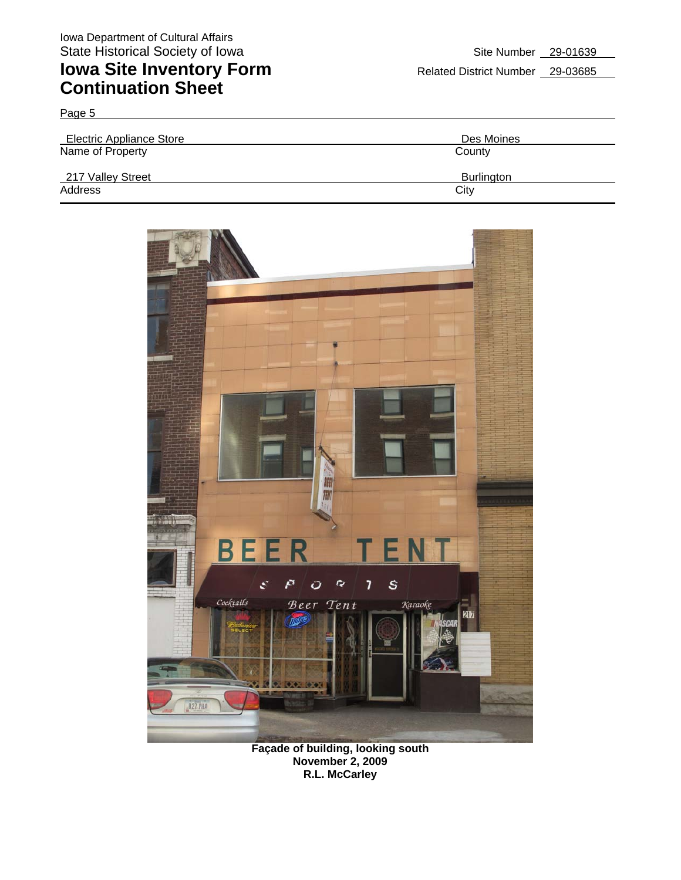| Page 5                          |                   |
|---------------------------------|-------------------|
| <b>Electric Appliance Store</b> | Des Moines        |
| Name of Property                | County            |
| 217 Valley Street               | <b>Burlington</b> |
| Address                         | City              |



**Façade of building, looking south November 2, 2009 R.L. McCarley**